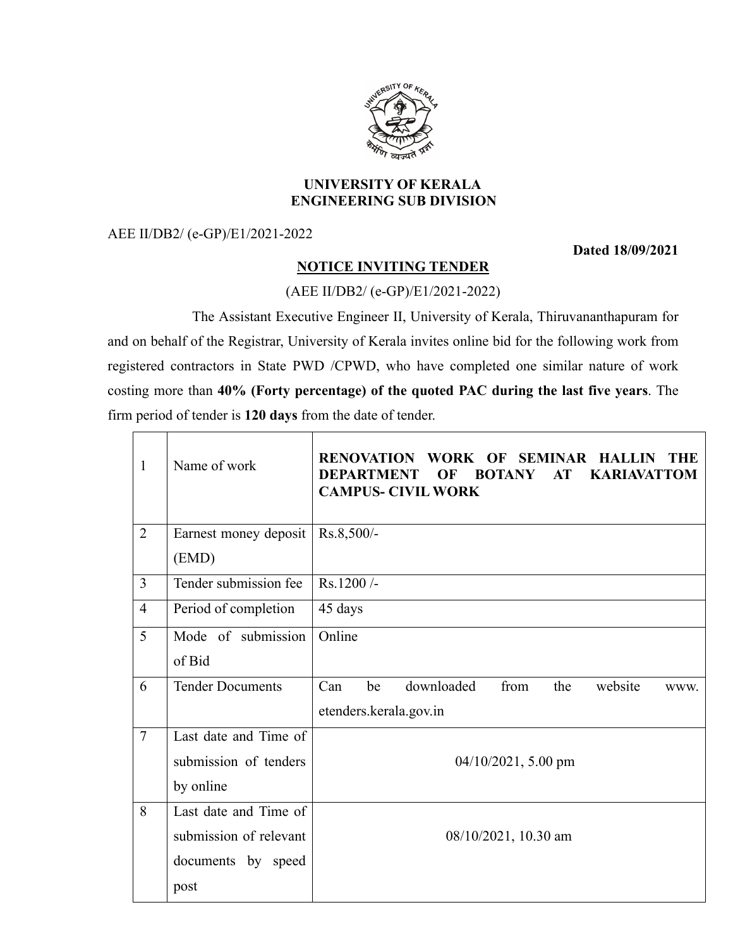

#### **UNIVERSITY OF KERALA ENGINEERING SUB DIVISION**

AEE II/DB2/ (e-GP)/E1/2021-2022

**Dated 18/09/2021**

## **NOTICE INVITING TENDER**

### (AEE II/DB2/ (e-GP)/E1/2021-2022)

The Assistant Executive Engineer II, University of Kerala, Thiruvananthapuram for and on behalf of the Registrar, University of Kerala invites online bid for the following work from registered contractors in State PWD /CPWD, who have completed one similar nature of work costing more than **40% (Forty percentage) of the quoted PAC during the last five years**. The firm period of tender is **120 days** from the date of tender.

| $\mathbf{1}$   | Name of work            | <b>RENOVATION</b><br>WORK OF<br><b>SEMINAR HALLIN</b><br><b>THE</b><br><b>DEPARTMENT</b><br><b>BOTANY</b><br>AT<br><b>KARIAVATTOM</b><br>OF<br><b>CAMPUS- CIVIL WORK</b> |  |
|----------------|-------------------------|--------------------------------------------------------------------------------------------------------------------------------------------------------------------------|--|
| $\overline{2}$ | Earnest money deposit   | Rs.8,500/-                                                                                                                                                               |  |
|                | (EMD)                   |                                                                                                                                                                          |  |
| $\overline{3}$ | Tender submission fee   | Rs.1200/-                                                                                                                                                                |  |
| $\overline{4}$ | Period of completion    | 45 days                                                                                                                                                                  |  |
| 5              | Mode of submission      | Online                                                                                                                                                                   |  |
|                | of Bid                  |                                                                                                                                                                          |  |
| 6              | <b>Tender Documents</b> | downloaded<br>from<br>Can<br>be<br>the<br>website<br>WWW.                                                                                                                |  |
|                |                         | etenders.kerala.gov.in                                                                                                                                                   |  |
| $\overline{7}$ | Last date and Time of   |                                                                                                                                                                          |  |
|                | submission of tenders   | $04/10/2021$ , 5.00 pm                                                                                                                                                   |  |
|                | by online               |                                                                                                                                                                          |  |
| 8              | Last date and Time of   |                                                                                                                                                                          |  |
|                | submission of relevant  | 08/10/2021, 10.30 am                                                                                                                                                     |  |
|                | documents by speed      |                                                                                                                                                                          |  |
|                | post                    |                                                                                                                                                                          |  |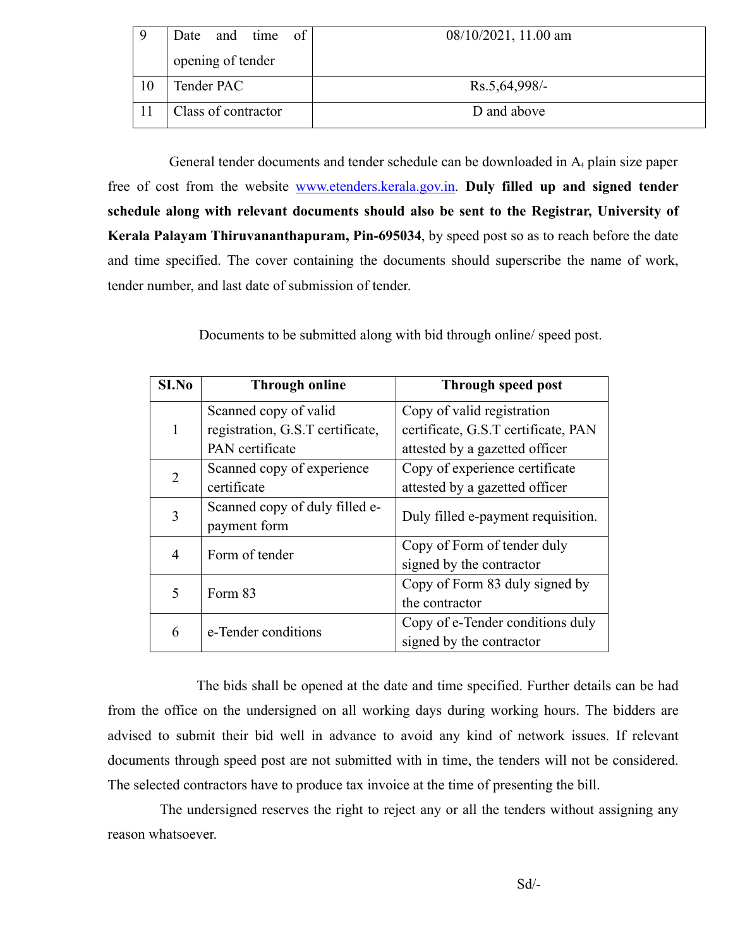| 9  | time of<br>and<br>Date | 08/10/2021, 11.00 am |
|----|------------------------|----------------------|
|    | opening of tender      |                      |
| 10 | Tender PAC             | Rs.5,64,998/-        |
|    | Class of contractor    | D and above          |

General tender documents and tender schedule can be downloaded in A<sup>4</sup> plain size paper free of cost from the website www.etenders.kerala.gov.in. **Duly filled up and signed tender schedule along with relevant documents should also be sent to the Registrar, University of Kerala Palayam Thiruvananthapuram, Pin-695034**, by speed post so as to reach before the date and time specified. The cover containing the documents should superscribe the name of work, tender number, and last date of submission of tender.

Documents to be submitted along with bid through online/ speed post.

| S <sub>I.No</sub> | <b>Through online</b>            | Through speed post                  |
|-------------------|----------------------------------|-------------------------------------|
|                   | Scanned copy of valid            | Copy of valid registration          |
| 1                 | registration, G.S.T certificate, | certificate, G.S.T certificate, PAN |
|                   | PAN certificate                  | attested by a gazetted officer      |
| 2                 | Scanned copy of experience       | Copy of experience certificate      |
|                   | certificate                      | attested by a gazetted officer      |
| 3                 | Scanned copy of duly filled e-   | Duly filled e-payment requisition.  |
|                   | payment form                     |                                     |
| 4                 | Form of tender                   | Copy of Form of tender duly         |
|                   |                                  | signed by the contractor            |
| 5                 | Form 83                          | Copy of Form 83 duly signed by      |
|                   |                                  | the contractor                      |
| 6                 | e-Tender conditions              | Copy of e-Tender conditions duly    |
|                   |                                  | signed by the contractor            |

The bids shall be opened at the date and time specified. Further details can be had from the office on the undersigned on all working days during working hours. The bidders are advised to submit their bid well in advance to avoid any kind of network issues. If relevant documents through speed post are not submitted with in time, the tenders will not be considered. The selected contractors have to produce tax invoice at the time of presenting the bill.

The undersigned reserves the right to reject any or all the tenders without assigning any reason whatsoever.